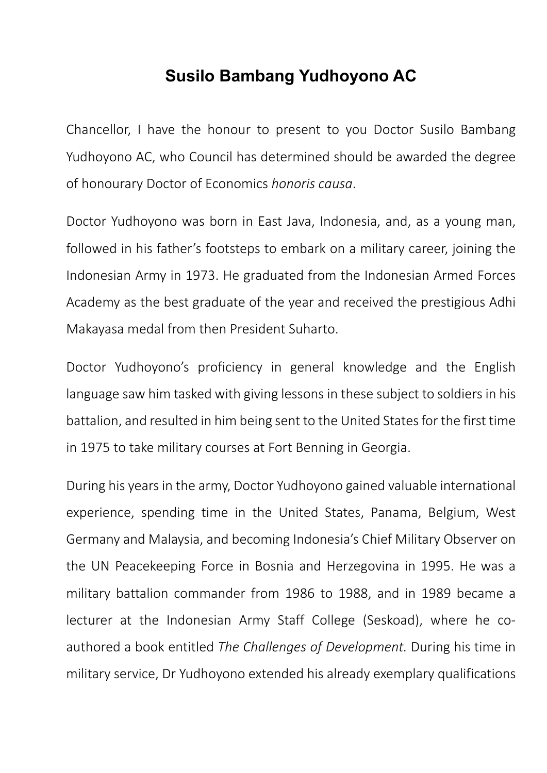## **Susilo Bambang Yudhoyono AC**

Chancellor, I have the honour to present to you Doctor Susilo Bambang Yudhoyono AC, who Council has determined should be awarded the degree of honourary Doctor of Economics *honoris causa*.

Doctor Yudhoyono was born in East Java, Indonesia, and, as a young man, followed in his father's footsteps to embark on a military career, joining the Indonesian Army in 1973. He graduated from the Indonesian Armed Forces Academy as the best graduate of the year and received the prestigious Adhi Makayasa medal from then President Suharto.

Doctor Yudhoyono's proficiency in general knowledge and the English language saw him tasked with giving lessons in these subject to soldiers in his battalion, and resulted in him being sent to the United States for the first time in 1975 to take military courses at Fort Benning in Georgia.

During his years in the army, Doctor Yudhoyono gained valuable international experience, spending time in the United States, Panama, Belgium, West Germany and Malaysia, and becoming Indonesia's Chief Military Observer on the UN Peacekeeping Force in Bosnia and Herzegovina in 1995. He was a military battalion commander from 1986 to 1988, and in 1989 became a lecturer at the Indonesian Army Staff College (Seskoad), where he coauthored a book entitled *The Challenges of Development.* During his time in military service, Dr Yudhoyono extended his already exemplary qualifications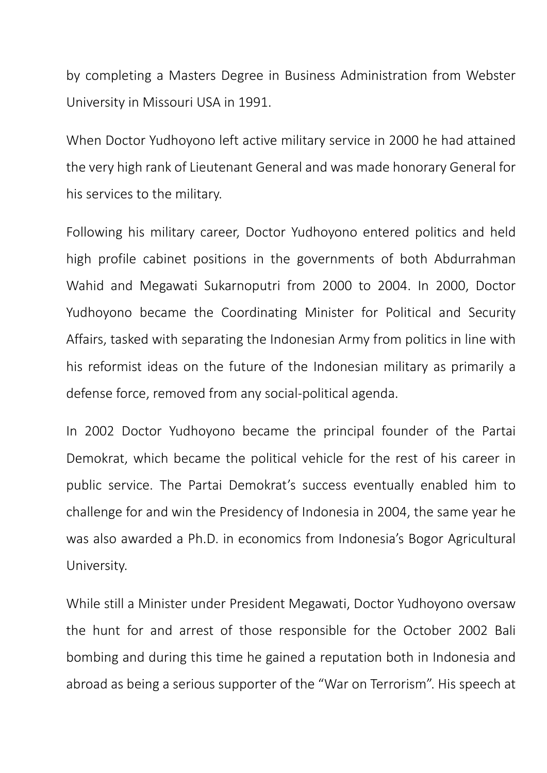by completing a Masters Degree in Business Administration from Webster University in Missouri USA in 1991.

When Doctor Yudhoyono left active military service in 2000 he had attained the very high rank of Lieutenant General and was made honorary General for his services to the military.

Following his military career, Doctor Yudhoyono entered politics and held high profile cabinet positions in the governments of both Abdurrahman Wahid and Megawati Sukarnoputri from 2000 to 2004. In 2000, Doctor Yudhoyono became the Coordinating Minister for Political and Security Affairs, tasked with separating the Indonesian Army from politics in line with his reformist ideas on the future of the Indonesian military as primarily a defense force, removed from any social‐political agenda.

In 2002 Doctor Yudhoyono became the principal founder of the Partai Demokrat, which became the political vehicle for the rest of his career in public service. The Partai Demokrat's success eventually enabled him to challenge for and win the Presidency of Indonesia in 2004, the same year he was also awarded a Ph.D. in economics from Indonesia's Bogor Agricultural University.

While still a Minister under President Megawati, Doctor Yudhoyono oversaw the hunt for and arrest of those responsible for the October 2002 Bali bombing and during this time he gained a reputation both in Indonesia and abroad as being a serious supporter of the "War on Terrorism". His speech at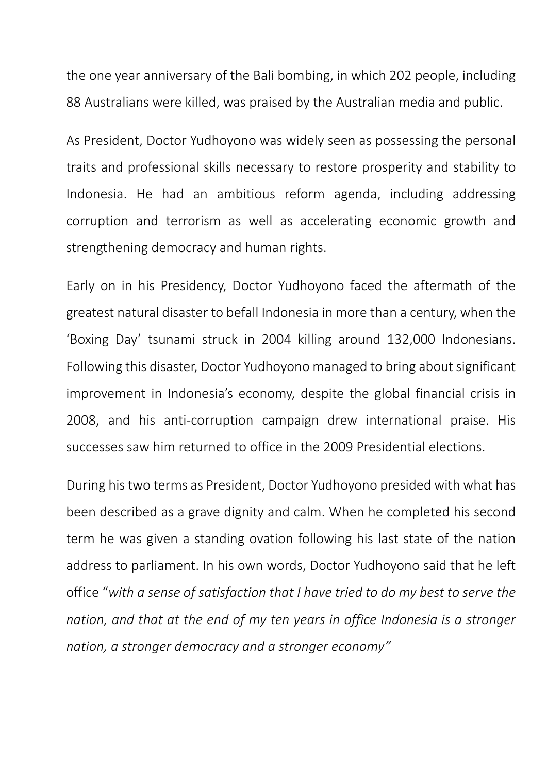the one year anniversary of the Bali bombing, in which 202 people, including 88 Australians were killed, was praised by the Australian media and public.

As President, Doctor Yudhoyono was widely seen as possessing the personal traits and professional skills necessary to restore prosperity and stability to Indonesia. He had an ambitious reform agenda, including addressing corruption and terrorism as well as accelerating economic growth and strengthening democracy and human rights.

Early on in his Presidency, Doctor Yudhoyono faced the aftermath of the greatest natural disaster to befall Indonesia in more than a century, when the 'Boxing Day' tsunami struck in 2004 killing around 132,000 Indonesians. Following this disaster, Doctor Yudhoyono managed to bring about significant improvement in Indonesia's economy, despite the global financial crisis in 2008, and his anti-corruption campaign drew international praise. His successes saw him returned to office in the 2009 Presidential elections.

During his two terms as President, Doctor Yudhoyono presided with what has been described as a grave dignity and calm. When he completed his second term he was given a standing ovation following his last state of the nation address to parliament. In his own words, Doctor Yudhoyono said that he left office "*with a sense of satisfaction that I have tried to do my best to serve the nation, and that at the end of my ten years in office Indonesia is a stronger nation, a stronger democracy and a stronger economy"*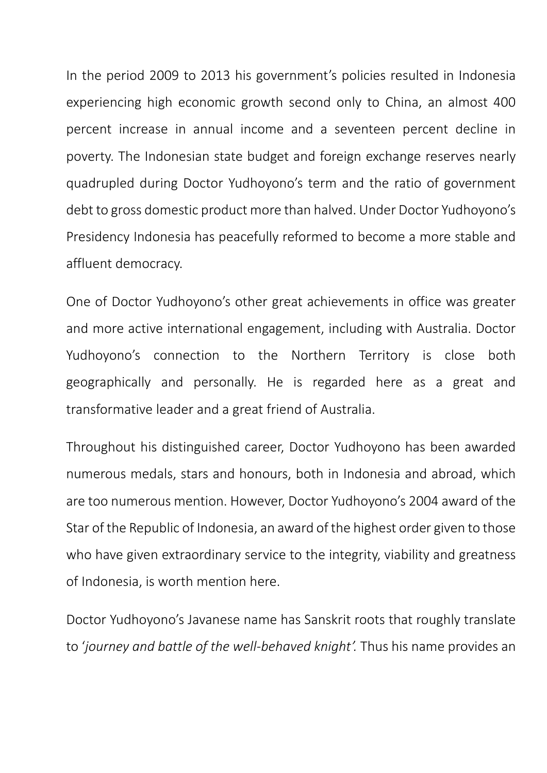In the period 2009 to 2013 his government's policies resulted in Indonesia experiencing high economic growth second only to China, an almost 400 percent increase in annual income and a seventeen percent decline in poverty. The Indonesian state budget and foreign exchange reserves nearly quadrupled during Doctor Yudhoyono's term and the ratio of government debt to gross domestic product more than halved. Under Doctor Yudhoyono's Presidency Indonesia has peacefully reformed to become a more stable and affluent democracy.

One of Doctor Yudhoyono's other great achievements in office was greater and more active international engagement, including with Australia. Doctor Yudhoyono's connection to the Northern Territory is close both geographically and personally. He is regarded here as a great and transformative leader and a great friend of Australia.

Throughout his distinguished career, Doctor Yudhoyono has been awarded numerous medals, stars and honours, both in Indonesia and abroad, which are too numerous mention. However, Doctor Yudhoyono's 2004 award of the Star of the Republic of Indonesia, an award of the highest order given to those who have given extraordinary service to the integrity, viability and greatness of Indonesia, is worth mention here.

Doctor Yudhoyono's Javanese name has Sanskrit roots that roughly translate to '*journey and battle of the well‐behaved knight'.* Thus his name provides an